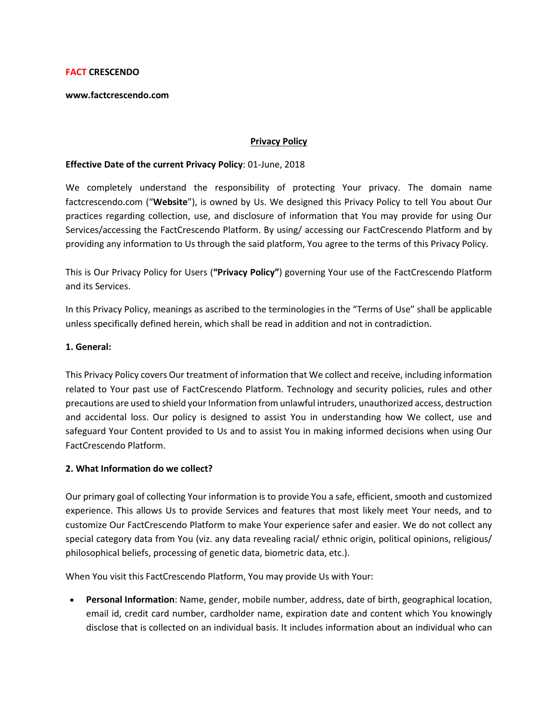#### **FACT CRESCENDO**

**www.factcrescendo.com** 

#### **Privacy Policy**

#### **Effective Date of the current Privacy Policy**: 01-June, 2018

We completely understand the responsibility of protecting Your privacy. The domain name factcrescendo.com ("**Website**"), is owned by Us. We designed this Privacy Policy to tell You about Our practices regarding collection, use, and disclosure of information that You may provide for using Our Services/accessing the FactCrescendo Platform. By using/ accessing our FactCrescendo Platform and by providing any information to Us through the said platform, You agree to the terms of this Privacy Policy.

This is Our Privacy Policy for Users (**"Privacy Policy"**) governing Your use of the FactCrescendo Platform and its Services.

In this Privacy Policy, meanings as ascribed to the terminologies in the "Terms of Use" shall be applicable unless specifically defined herein, which shall be read in addition and not in contradiction.

#### **1. General:**

This Privacy Policy covers Our treatment of information that We collect and receive, including information related to Your past use of FactCrescendo Platform. Technology and security policies, rules and other precautions are used to shield your Information from unlawful intruders, unauthorized access, destruction and accidental loss. Our policy is designed to assist You in understanding how We collect, use and safeguard Your Content provided to Us and to assist You in making informed decisions when using Our FactCrescendo Platform.

## **2. What Information do we collect?**

Our primary goal of collecting Your information is to provide You a safe, efficient, smooth and customized experience. This allows Us to provide Services and features that most likely meet Your needs, and to customize Our FactCrescendo Platform to make Your experience safer and easier. We do not collect any special category data from You (viz. any data revealing racial/ ethnic origin, political opinions, religious/ philosophical beliefs, processing of genetic data, biometric data, etc.).

When You visit this FactCrescendo Platform, You may provide Us with Your:

 **Personal Information**: Name, gender, mobile number, address, date of birth, geographical location, email id, credit card number, cardholder name, expiration date and content which You knowingly disclose that is collected on an individual basis. It includes information about an individual who can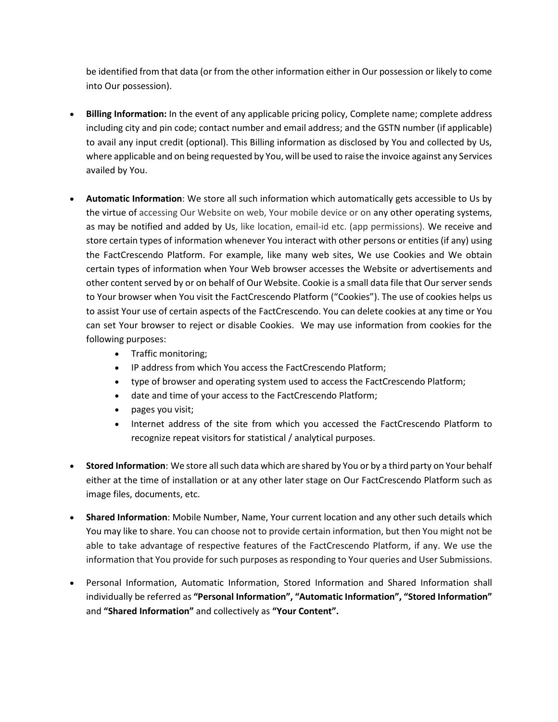be identified from that data (or from the other information either in Our possession or likely to come into Our possession).

- **Billing Information:** In the event of any applicable pricing policy, Complete name; complete address including city and pin code; contact number and email address; and the GSTN number (if applicable) to avail any input credit (optional). This Billing information as disclosed by You and collected by Us, where applicable and on being requested by You, will be used to raise the invoice against any Services availed by You.
- **Automatic Information**: We store all such information which automatically gets accessible to Us by the virtue of accessing Our Website on web, Your mobile device or on any other operating systems, as may be notified and added by Us, like location, email-id etc. (app permissions). We receive and store certain types of information whenever You interact with other persons or entities (if any) using the FactCrescendo Platform. For example, like many web sites, We use Cookies and We obtain certain types of information when Your Web browser accesses the Website or advertisements and other content served by or on behalf of Our Website. Cookie is a small data file that Our server sends to Your browser when You visit the FactCrescendo Platform ("Cookies"). The use of cookies helps us to assist Your use of certain aspects of the FactCrescendo. You can delete cookies at any time or You can set Your browser to reject or disable Cookies. We may use information from cookies for the following purposes:
	- Traffic monitoring;
	- IP address from which You access the FactCrescendo Platform;
	- type of browser and operating system used to access the FactCrescendo Platform;
	- date and time of your access to the FactCrescendo Platform;
	- pages you visit;
	- Internet address of the site from which you accessed the FactCrescendo Platform to recognize repeat visitors for statistical / analytical purposes.
- **Stored Information**: We store all such data which are shared by You or by a third party on Your behalf either at the time of installation or at any other later stage on Our FactCrescendo Platform such as image files, documents, etc.
- **Shared Information**: Mobile Number, Name, Your current location and any other such details which You may like to share. You can choose not to provide certain information, but then You might not be able to take advantage of respective features of the FactCrescendo Platform, if any. We use the information that You provide for such purposes as responding to Your queries and User Submissions.
- Personal Information, Automatic Information, Stored Information and Shared Information shall individually be referred as **"Personal Information", "Automatic Information", "Stored Information"**  and **"Shared Information"** and collectively as **"Your Content".**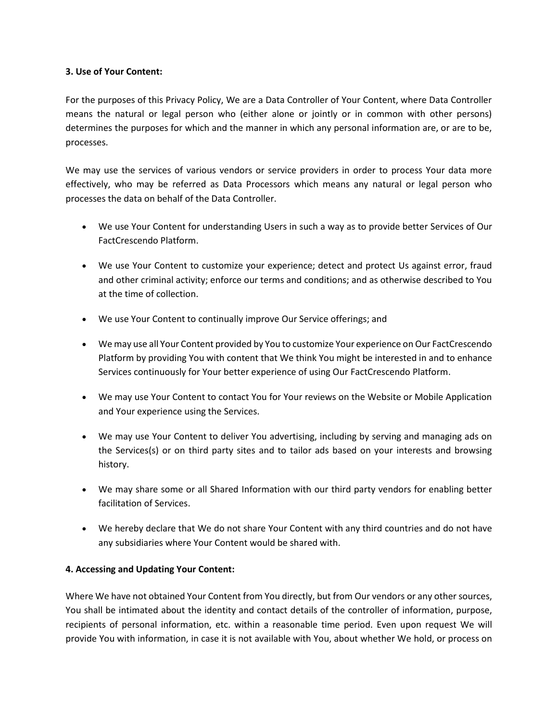## **3. Use of Your Content:**

For the purposes of this Privacy Policy, We are a Data Controller of Your Content, where Data Controller means the natural or legal person who (either alone or jointly or in common with other persons) determines the purposes for which and the manner in which any personal information are, or are to be, processes.

We may use the services of various vendors or service providers in order to process Your data more effectively, who may be referred as Data Processors which means any natural or legal person who processes the data on behalf of the Data Controller.

- We use Your Content for understanding Users in such a way as to provide better Services of Our FactCrescendo Platform.
- We use Your Content to customize your experience; detect and protect Us against error, fraud and other criminal activity; enforce our terms and conditions; and as otherwise described to You at the time of collection.
- We use Your Content to continually improve Our Service offerings; and
- We may use all Your Content provided by You to customize Your experience on Our FactCrescendo Platform by providing You with content that We think You might be interested in and to enhance Services continuously for Your better experience of using Our FactCrescendo Platform.
- We may use Your Content to contact You for Your reviews on the Website or Mobile Application and Your experience using the Services.
- We may use Your Content to deliver You advertising, including by serving and managing ads on the Services(s) or on third party sites and to tailor ads based on your interests and browsing history.
- We may share some or all Shared Information with our third party vendors for enabling better facilitation of Services.
- We hereby declare that We do not share Your Content with any third countries and do not have any subsidiaries where Your Content would be shared with.

# **4. Accessing and Updating Your Content:**

Where We have not obtained Your Content from You directly, but from Our vendors or any other sources, You shall be intimated about the identity and contact details of the controller of information, purpose, recipients of personal information, etc. within a reasonable time period. Even upon request We will provide You with information, in case it is not available with You, about whether We hold, or process on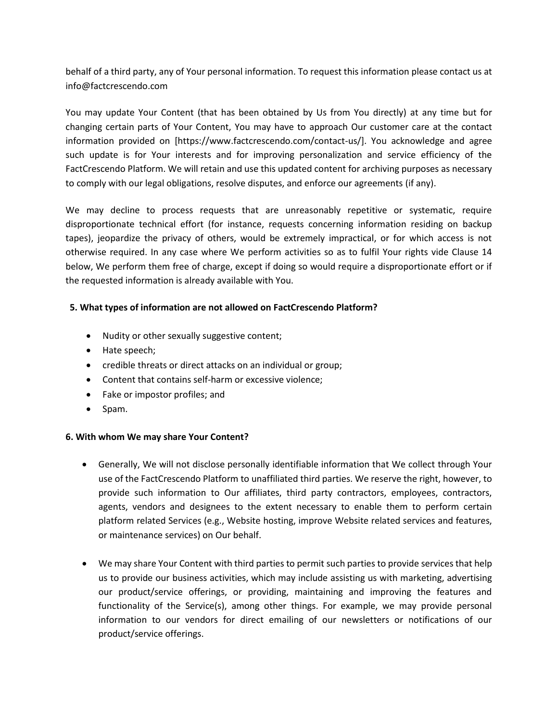behalf of a third party, any of Your personal information. To request this information please contact us at info@factcrescendo.com

You may update Your Content (that has been obtained by Us from You directly) at any time but for changing certain parts of Your Content, You may have to approach Our customer care at the contact information provided on [https://www.factcrescendo.com/contact-us/]. You acknowledge and agree such update is for Your interests and for improving personalization and service efficiency of the FactCrescendo Platform. We will retain and use this updated content for archiving purposes as necessary to comply with our legal obligations, resolve disputes, and enforce our agreements (if any).

We may decline to process requests that are unreasonably repetitive or systematic, require disproportionate technical effort (for instance, requests concerning information residing on backup tapes), jeopardize the privacy of others, would be extremely impractical, or for which access is not otherwise required. In any case where We perform activities so as to fulfil Your rights vide Clause 14 below, We perform them free of charge, except if doing so would require a disproportionate effort or if the requested information is already available with You.

## **5. What types of information are not allowed on FactCrescendo Platform?**

- Nudity or other sexually suggestive content;
- Hate speech;
- credible threats or direct attacks on an individual or group;
- Content that contains self-harm or excessive violence;
- Fake or impostor profiles; and
- Spam.

## **6. With whom We may share Your Content?**

- Generally, We will not disclose personally identifiable information that We collect through Your use of the FactCrescendo Platform to unaffiliated third parties. We reserve the right, however, to provide such information to Our affiliates, third party contractors, employees, contractors, agents, vendors and designees to the extent necessary to enable them to perform certain platform related Services (e.g., Website hosting, improve Website related services and features, or maintenance services) on Our behalf.
- We may share Your Content with third parties to permit such parties to provide services that help us to provide our business activities, which may include assisting us with marketing, advertising our product/service offerings, or providing, maintaining and improving the features and functionality of the Service(s), among other things. For example, we may provide personal information to our vendors for direct emailing of our newsletters or notifications of our product/service offerings.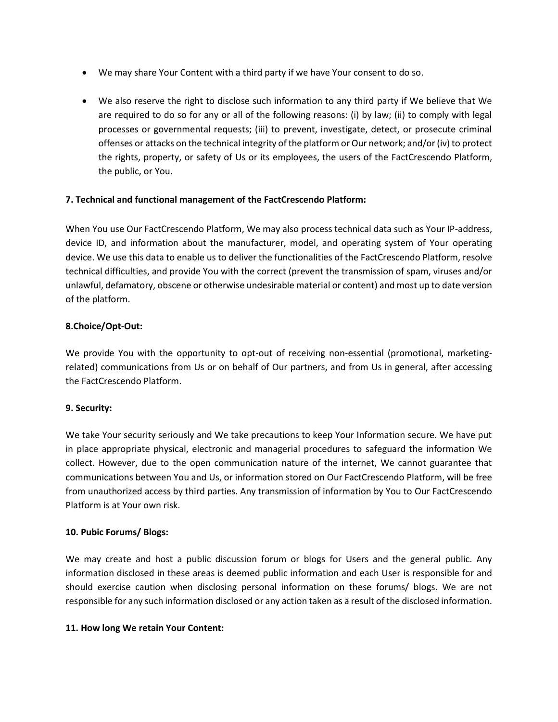- We may share Your Content with a third party if we have Your consent to do so.
- We also reserve the right to disclose such information to any third party if We believe that We are required to do so for any or all of the following reasons: (i) by law; (ii) to comply with legal processes or governmental requests; (iii) to prevent, investigate, detect, or prosecute criminal offenses or attacks on the technical integrity of the platform or Our network; and/or (iv) to protect the rights, property, or safety of Us or its employees, the users of the FactCrescendo Platform, the public, or You.

## **7. Technical and functional management of the FactCrescendo Platform:**

When You use Our FactCrescendo Platform, We may also process technical data such as Your IP-address, device ID, and information about the manufacturer, model, and operating system of Your operating device. We use this data to enable us to deliver the functionalities of the FactCrescendo Platform, resolve technical difficulties, and provide You with the correct (prevent the transmission of spam, viruses and/or unlawful, defamatory, obscene or otherwise undesirable material or content) and most up to date version of the platform.

## **8.Choice/Opt-Out:**

We provide You with the opportunity to opt-out of receiving non-essential (promotional, marketingrelated) communications from Us or on behalf of Our partners, and from Us in general, after accessing the FactCrescendo Platform.

## **9. Security:**

We take Your security seriously and We take precautions to keep Your Information secure. We have put in place appropriate physical, electronic and managerial procedures to safeguard the information We collect. However, due to the open communication nature of the internet, We cannot guarantee that communications between You and Us, or information stored on Our FactCrescendo Platform, will be free from unauthorized access by third parties. Any transmission of information by You to Our FactCrescendo Platform is at Your own risk.

## **10. Pubic Forums/ Blogs:**

We may create and host a public discussion forum or blogs for Users and the general public. Any information disclosed in these areas is deemed public information and each User is responsible for and should exercise caution when disclosing personal information on these forums/ blogs. We are not responsible for any such information disclosed or any action taken as a result of the disclosed information.

## **11. How long We retain Your Content:**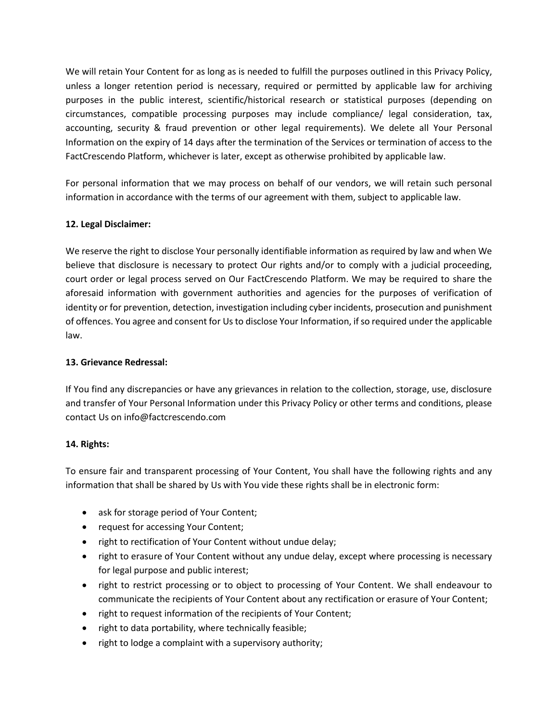We will retain Your Content for as long as is needed to fulfill the purposes outlined in this Privacy Policy, unless a longer retention period is necessary, required or permitted by applicable law for archiving purposes in the public interest, scientific/historical research or statistical purposes (depending on circumstances, compatible processing purposes may include compliance/ legal consideration, tax, accounting, security & fraud prevention or other legal requirements). We delete all Your Personal Information on the expiry of 14 days after the termination of the Services or termination of access to the FactCrescendo Platform, whichever is later, except as otherwise prohibited by applicable law.

For personal information that we may process on behalf of our vendors, we will retain such personal information in accordance with the terms of our agreement with them, subject to applicable law.

# **12. Legal Disclaimer:**

We reserve the right to disclose Your personally identifiable information as required by law and when We believe that disclosure is necessary to protect Our rights and/or to comply with a judicial proceeding, court order or legal process served on Our FactCrescendo Platform. We may be required to share the aforesaid information with government authorities and agencies for the purposes of verification of identity or for prevention, detection, investigation including cyber incidents, prosecution and punishment of offences. You agree and consent for Us to disclose Your Information, if so required under the applicable law.

## **13. Grievance Redressal:**

If You find any discrepancies or have any grievances in relation to the collection, storage, use, disclosure and transfer of Your Personal Information under this Privacy Policy or other terms and conditions, please contact Us on info@factcrescendo.com

## **14. Rights:**

To ensure fair and transparent processing of Your Content, You shall have the following rights and any information that shall be shared by Us with You vide these rights shall be in electronic form:

- ask for storage period of Your Content;
- request for accessing Your Content;
- right to rectification of Your Content without undue delay;
- right to erasure of Your Content without any undue delay, except where processing is necessary for legal purpose and public interest;
- right to restrict processing or to object to processing of Your Content. We shall endeavour to communicate the recipients of Your Content about any rectification or erasure of Your Content;
- right to request information of the recipients of Your Content;
- right to data portability, where technically feasible;
- right to lodge a complaint with a supervisory authority;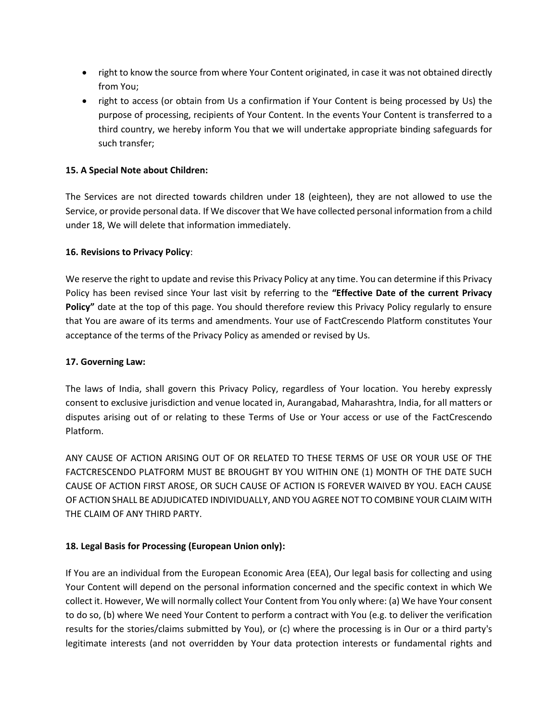- right to know the source from where Your Content originated, in case it was not obtained directly from You;
- right to access (or obtain from Us a confirmation if Your Content is being processed by Us) the purpose of processing, recipients of Your Content. In the events Your Content is transferred to a third country, we hereby inform You that we will undertake appropriate binding safeguards for such transfer;

# **15. A Special Note about Children:**

The Services are not directed towards children under 18 (eighteen), they are not allowed to use the Service, or provide personal data. If We discover that We have collected personal information from a child under 18, We will delete that information immediately.

## **16. Revisions to Privacy Policy**:

We reserve the right to update and revise this Privacy Policy at any time. You can determine if this Privacy Policy has been revised since Your last visit by referring to the **"Effective Date of the current Privacy Policy"** date at the top of this page. You should therefore review this Privacy Policy regularly to ensure that You are aware of its terms and amendments. Your use of FactCrescendo Platform constitutes Your acceptance of the terms of the Privacy Policy as amended or revised by Us.

## **17. Governing Law:**

The laws of India, shall govern this Privacy Policy, regardless of Your location. You hereby expressly consent to exclusive jurisdiction and venue located in, Aurangabad, Maharashtra, India, for all matters or disputes arising out of or relating to these Terms of Use or Your access or use of the FactCrescendo Platform.

ANY CAUSE OF ACTION ARISING OUT OF OR RELATED TO THESE TERMS OF USE OR YOUR USE OF THE FACTCRESCENDO PLATFORM MUST BE BROUGHT BY YOU WITHIN ONE (1) MONTH OF THE DATE SUCH CAUSE OF ACTION FIRST AROSE, OR SUCH CAUSE OF ACTION IS FOREVER WAIVED BY YOU. EACH CAUSE OF ACTION SHALL BE ADJUDICATED INDIVIDUALLY, AND YOU AGREE NOT TO COMBINE YOUR CLAIM WITH THE CLAIM OF ANY THIRD PARTY.

## **18. Legal Basis for Processing (European Union only):**

If You are an individual from the European Economic Area (EEA), Our legal basis for collecting and using Your Content will depend on the personal information concerned and the specific context in which We collect it. However, We will normally collect Your Content from You only where: (a) We have Your consent to do so, (b) where We need Your Content to perform a contract with You (e.g. to deliver the verification results for the stories/claims submitted by You), or (c) where the processing is in Our or a third party's legitimate interests (and not overridden by Your data protection interests or fundamental rights and